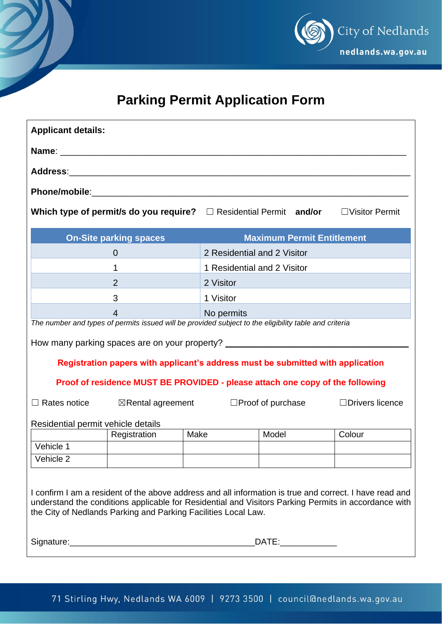

## **Parking Permit Application Form**

| <b>Applicant details:</b>                                                                                                                                                                                                                                                         |                                                                            |                             |                                   |       |                        |                       |
|-----------------------------------------------------------------------------------------------------------------------------------------------------------------------------------------------------------------------------------------------------------------------------------|----------------------------------------------------------------------------|-----------------------------|-----------------------------------|-------|------------------------|-----------------------|
|                                                                                                                                                                                                                                                                                   |                                                                            |                             |                                   |       |                        |                       |
|                                                                                                                                                                                                                                                                                   |                                                                            |                             |                                   |       |                        |                       |
|                                                                                                                                                                                                                                                                                   |                                                                            |                             |                                   |       |                        |                       |
|                                                                                                                                                                                                                                                                                   | Which type of permit/s do you require? $\square$ Residential Permit and/or |                             |                                   |       |                        | $\Box$ Visitor Permit |
| <b>On-Site parking spaces</b>                                                                                                                                                                                                                                                     |                                                                            |                             | <b>Maximum Permit Entitlement</b> |       |                        |                       |
|                                                                                                                                                                                                                                                                                   | $\overline{0}$                                                             |                             | 2 Residential and 2 Visitor       |       |                        |                       |
|                                                                                                                                                                                                                                                                                   | 1                                                                          | 1 Residential and 2 Visitor |                                   |       |                        |                       |
|                                                                                                                                                                                                                                                                                   | 2                                                                          |                             | 2 Visitor                         |       |                        |                       |
|                                                                                                                                                                                                                                                                                   | 3                                                                          |                             | 1 Visitor                         |       |                        |                       |
| $\overline{4}$                                                                                                                                                                                                                                                                    |                                                                            |                             | No permits                        |       |                        |                       |
| The number and types of permits issued will be provided subject to the eligibility table and criteria                                                                                                                                                                             |                                                                            |                             |                                   |       |                        |                       |
| How many parking spaces are on your property? __________________________________                                                                                                                                                                                                  |                                                                            |                             |                                   |       |                        |                       |
| Registration papers with applicant's address must be submitted with application                                                                                                                                                                                                   |                                                                            |                             |                                   |       |                        |                       |
| Proof of residence MUST BE PROVIDED - please attach one copy of the following                                                                                                                                                                                                     |                                                                            |                             |                                   |       |                        |                       |
| $\Box$ Rates notice                                                                                                                                                                                                                                                               | $\boxtimes$ Rental agreement                                               | $\Box$ Proof of purchase    |                                   |       | $\Box$ Drivers licence |                       |
| Residential permit vehicle details                                                                                                                                                                                                                                                |                                                                            |                             |                                   |       |                        |                       |
|                                                                                                                                                                                                                                                                                   | Registration                                                               | Make                        |                                   | Model |                        | Colour                |
| Vehicle 1                                                                                                                                                                                                                                                                         |                                                                            |                             |                                   |       |                        |                       |
| Vehicle 2                                                                                                                                                                                                                                                                         |                                                                            |                             |                                   |       |                        |                       |
| I confirm I am a resident of the above address and all information is true and correct. I have read and<br>understand the conditions applicable for Residential and Visitors Parking Permits in accordance with<br>the City of Nedlands Parking and Parking Facilities Local Law. |                                                                            |                             |                                   |       |                        |                       |
|                                                                                                                                                                                                                                                                                   | DATE:______________                                                        |                             |                                   |       |                        |                       |